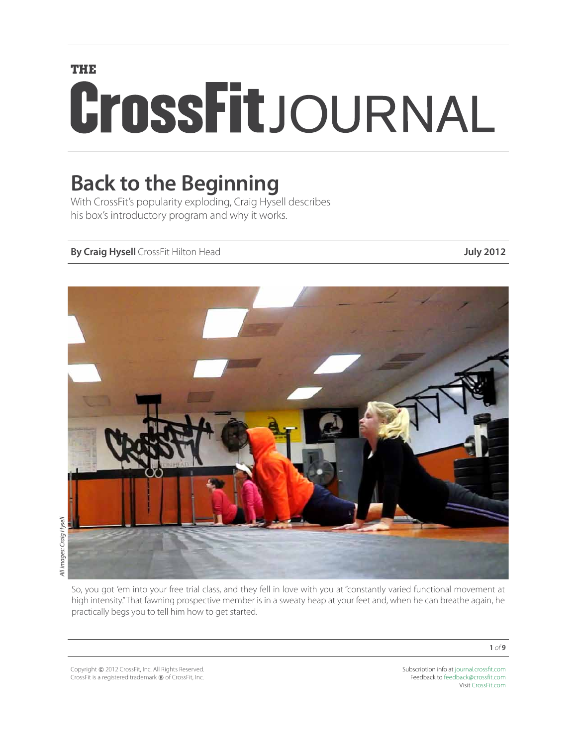# **THE** CrossFitJOURNAL

## **Back to the Beginning**

With CrossFit's popularity exploding, Craig Hysell describes his box's introductory program and why it works.

#### **By Craig Hysell** CrossFit Hilton Head **July 2012**



All images: Craig Hysell *All images: Craig Hysell*

> So, you got 'em into your free trial class, and they fell in love with you at "constantly varied functional movement at high intensity." That fawning prospective member is in a sweaty heap at your feet and, when he can breathe again, he practically begs you to tell him how to get started.

Copyright © 2012 CrossFit, Inc. All Rights Reserved. CrossFit is a registered trademark ® of CrossFit, Inc. Subscription info at [journal.crossfit.com](http://journal.crossfit.com) Feedback to [feedback@crossfit.com](mailto:feedback@crossfit.com) Visit [CrossFit.com](http://www.crossfit.com)

**1** *of* **9**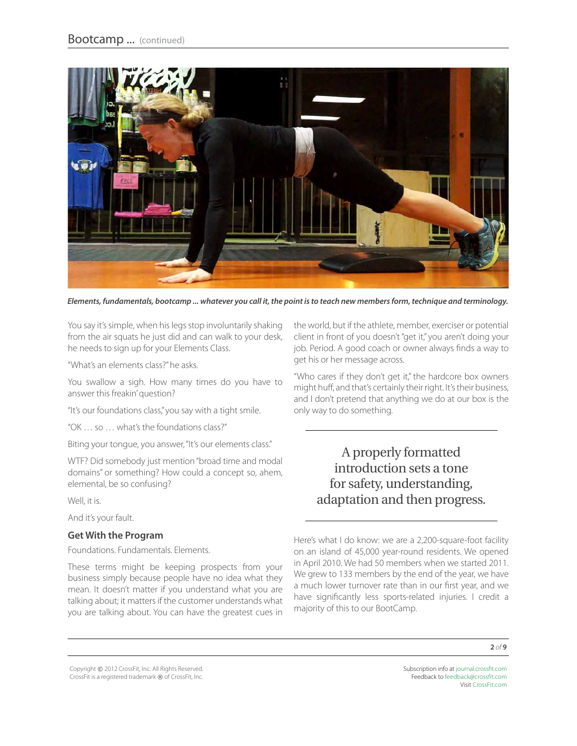

*Elements, fundamentals, bootcamp ... whatever you call it, the point is to teach new members form, technique and terminology.*

You say it's simple, when his legs stop involuntarily shaking from the air squats he just did and can walk to your desk, he needs to sign up for your Elements Class.

"What's an elements class?" he asks.

You swallow a sigh. How many times do you have to answer this freakin' question?

"It's our foundations class," you say with a tight smile.

"OK … so … what's the foundations class?"

Biting your tongue, you answer, "It's our elements class."

WTF? Did somebody just mention "broad time and modal domains" or something? How could a concept so, ahem, elemental, be so confusing?

Well, it is.

And it's your fault.

#### **Get With the Program**

Foundations. Fundamentals. Elements.

These terms might be keeping prospects from your business simply because people have no idea what they mean. It doesn't matter if you understand what you are talking about; it matters if the customer understands what you are talking about. You can have the greatest cues in

the world, but if the athlete, member, exerciser or potential client in front of you doesn't "get it," you aren't doing your job. Period. A good coach or owner always finds a way to get his or her message across.

"Who cares if they don't get it," the hardcore box owners might huff, and that's certainly their right. It's their business, and I don't pretend that anything we do at our box is the only way to do something.

> A properly formatted introduction sets a tone for safety, understanding, adaptation and then progress.

Here's what I do know: we are a 2,200-square-foot facility on an island of 45,000 year-round residents. We opened in April 2010. We had 50 members when we started 2011. We grew to 133 members by the end of the year, we have a much lower turnover rate than in our first year, and we have significantly less sports-related injuries. I credit a majority of this to our BootCamp.

Copyright © 2012 CrossFit, Inc. All Rights Reserved. CrossFit is a registered trademark ® of CrossFit, Inc.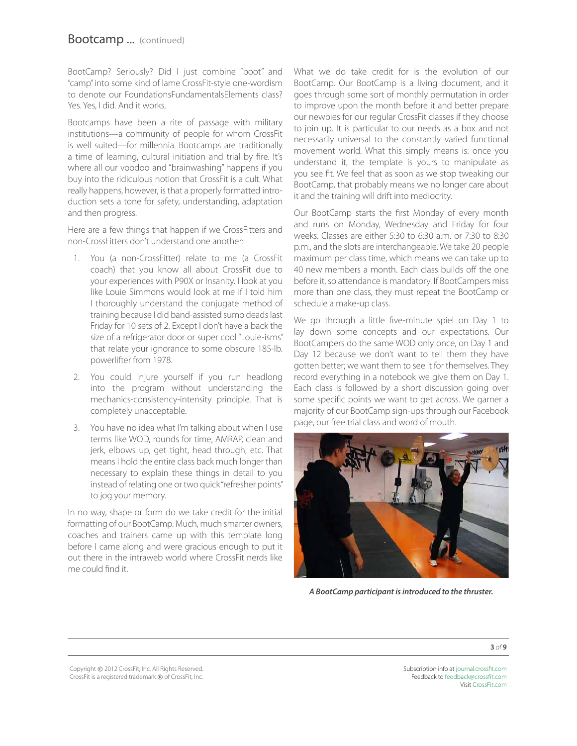BootCamp? Seriously? Did I just combine "boot" and "camp" into some kind of lame CrossFit-style one-wordism to denote our FoundationsFundamentalsElements class? Yes. Yes, I did. And it works.

Bootcamps have been a rite of passage with military institutions—a community of people for whom CrossFit is well suited—for millennia. Bootcamps are traditionally a time of learning, cultural initiation and trial by fire. It's where all our voodoo and "brainwashing" happens if you buy into the ridiculous notion that CrossFit is a cult. What really happens, however, is that a properly formatted introduction sets a tone for safety, understanding, adaptation and then progress.

Here are a few things that happen if we CrossFitters and non-CrossFitters don't understand one another:

- 1. You (a non-CrossFitter) relate to me (a CrossFit coach) that you know all about CrossFit due to your experiences with P90X or Insanity. I look at you like Louie Simmons would look at me if I told him I thoroughly understand the conjugate method of training because I did band-assisted sumo deads last Friday for 10 sets of 2. Except I don't have a back the size of a refrigerator door or super cool "Louie-isms" that relate your ignorance to some obscure 185-lb. powerlifter from 1978.
- 2. You could injure yourself if you run headlong into the program without understanding the mechanics-consistency-intensity principle. That is completely unacceptable.
- 3. You have no idea what I'm talking about when I use terms like WOD, rounds for time, AMRAP, clean and jerk, elbows up, get tight, head through, etc. That means I hold the entire class back much longer than necessary to explain these things in detail to you instead of relating one or two quick "refresher points" to jog your memory.

In no way, shape or form do we take credit for the initial formatting of our BootCamp. Much, much smarter owners, coaches and trainers came up with this template long before I came along and were gracious enough to put it out there in the intraweb world where CrossFit nerds like me could find it.

What we do take credit for is the evolution of our BootCamp. Our BootCamp is a living document, and it goes through some sort of monthly permutation in order to improve upon the month before it and better prepare our newbies for our regular CrossFit classes if they choose to join up. It is particular to our needs as a box and not necessarily universal to the constantly varied functional movement world. What this simply means is: once you understand it, the template is yours to manipulate as you see fit. We feel that as soon as we stop tweaking our BootCamp, that probably means we no longer care about it and the training will drift into mediocrity.

Our BootCamp starts the first Monday of every month and runs on Monday, Wednesday and Friday for four weeks. Classes are either 5:30 to 6:30 a.m. or 7:30 to 8:30 p.m., and the slots are interchangeable. We take 20 people maximum per class time, which means we can take up to 40 new members a month. Each class builds off the one before it, so attendance is mandatory. If BootCampers miss more than one class, they must repeat the BootCamp or schedule a make-up class.

We go through a little five-minute spiel on Day 1 to lay down some concepts and our expectations. Our BootCampers do the same WOD only once, on Day 1 and Day 12 because we don't want to tell them they have gotten better; we want them to see it for themselves. They record everything in a notebook we give them on Day 1. Each class is followed by a short discussion going over some specific points we want to get across. We garner a majority of our BootCamp sign-ups through our Facebook page, our free trial class and word of mouth.



*A BootCamp participant is introduced to the thruster.*

Copyright © 2012 CrossFit, Inc. All Rights Reserved. CrossFit is a registered trademark ® of CrossFit, Inc.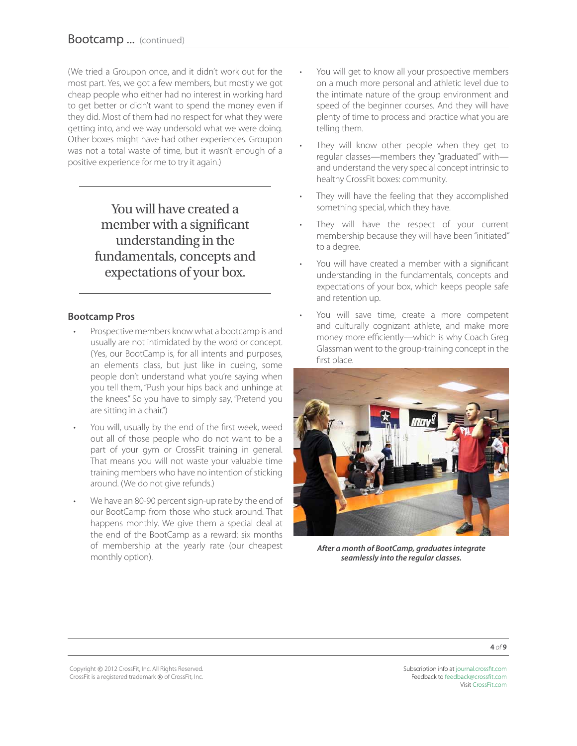(We tried a Groupon once, and it didn't work out for the most part. Yes, we got a few members, but mostly we got cheap people who either had no interest in working hard to get better or didn't want to spend the money even if they did. Most of them had no respect for what they were getting into, and we way undersold what we were doing. Other boxes might have had other experiences. Groupon was not a total waste of time, but it wasn't enough of a positive experience for me to try it again.)

> You will have created a member with a significant understanding in the fundamentals, concepts and expectations of your box.

#### **Bootcamp Pros**

- Prospective members know what a bootcamp is and usually are not intimidated by the word or concept. (Yes, our BootCamp is, for all intents and purposes, an elements class, but just like in cueing, some people don't understand what you're saying when you tell them, "Push your hips back and unhinge at the knees." So you have to simply say, "Pretend you are sitting in a chair.")
- You will, usually by the end of the first week, weed out all of those people who do not want to be a part of your gym or CrossFit training in general. That means you will not waste your valuable time training members who have no intention of sticking around. (We do not give refunds.)
- We have an 80-90 percent sign-up rate by the end of our BootCamp from those who stuck around. That happens monthly. We give them a special deal at the end of the BootCamp as a reward: six months of membership at the yearly rate (our cheapest monthly option).
- You will get to know all your prospective members on a much more personal and athletic level due to the intimate nature of the group environment and speed of the beginner courses. And they will have plenty of time to process and practice what you are telling them.
- They will know other people when they get to regular classes—members they "graduated" with and understand the very special concept intrinsic to healthy CrossFit boxes: community.
- They will have the feeling that they accomplished something special, which they have.
- They will have the respect of your current membership because they will have been "initiated" to a degree.
- You will have created a member with a significant understanding in the fundamentals, concepts and expectations of your box, which keeps people safe and retention up.
- You will save time, create a more competent and culturally cognizant athlete, and make more money more efficiently—which is why Coach Greg Glassman went to the group-training concept in the first place.



*After a month of BootCamp, graduates integrate seamlessly into the regular classes.*

Copyright © 2012 CrossFit, Inc. All Rights Reserved. CrossFit is a registered trademark ® of CrossFit, Inc.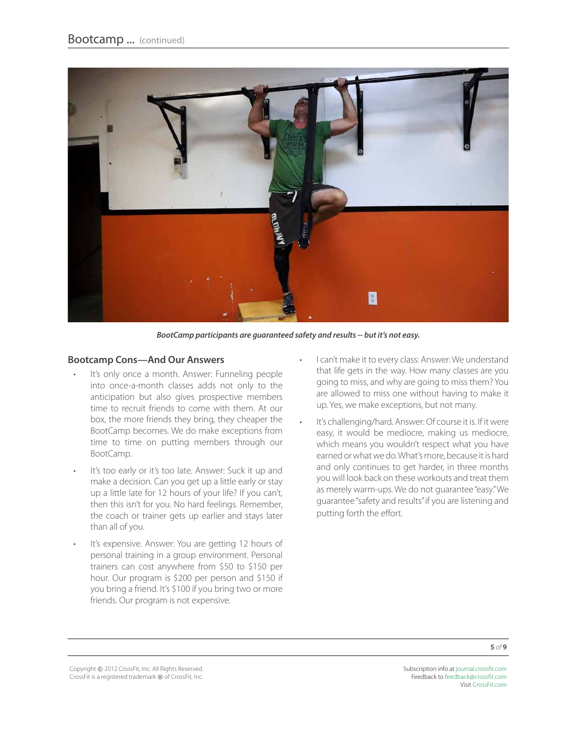

*BootCamp participants are guaranteed safety and results -- but it's not easy.* 

#### **Bootcamp Cons—And Our Answers**

- It's only once a month. Answer: Funneling people into once-a-month classes adds not only to the anticipation but also gives prospective members time to recruit friends to come with them. At our box, the more friends they bring, they cheaper the BootCamp becomes. We do make exceptions from time to time on putting members through our BootCamp.
- It's too early or it's too late. Answer: Suck it up and make a decision. Can you get up a little early or stay up a little late for 12 hours of your life? If you can't, then this isn't for you. No hard feelings. Remember, the coach or trainer gets up earlier and stays later than all of you.
- • It's expensive. Answer: You are getting 12 hours of personal training in a group environment. Personal trainers can cost anywhere from \$50 to \$150 per hour. Our program is \$200 per person and \$150 if you bring a friend. It's \$100 if you bring two or more friends. Our program is not expensive.
- I can't make it to every class: Answer: We understand that life gets in the way. How many classes are you going to miss, and why are going to miss them? You are allowed to miss one without having to make it up. Yes, we make exceptions, but not many.
- It's challenging/hard. Answer: Of course it is. If it were easy, it would be mediocre, making us mediocre, which means you wouldn't respect what you have earned or what we do. What's more, because it is hard and only continues to get harder, in three months you will look back on these workouts and treat them as merely warm-ups. We do not guarantee "easy." We guarantee "safety and results" if you are listening and putting forth the effort.

Copyright © 2012 CrossFit, Inc. All Rights Reserved. CrossFit is a registered trademark ® of CrossFit, Inc.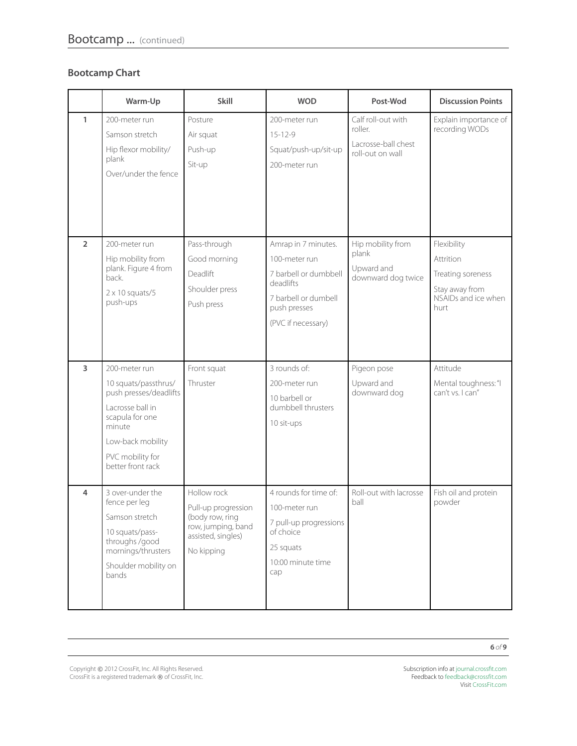#### **Bootcamp Chart**

|                | Warm-Up                                                                                                                                                                        | <b>Skill</b>                                                                                                    | <b>WOD</b>                                                                                                                               | Post-Wod                                                                 | <b>Discussion Points</b>                                                                       |
|----------------|--------------------------------------------------------------------------------------------------------------------------------------------------------------------------------|-----------------------------------------------------------------------------------------------------------------|------------------------------------------------------------------------------------------------------------------------------------------|--------------------------------------------------------------------------|------------------------------------------------------------------------------------------------|
| $\mathbf{1}$   | 200-meter run<br>Samson stretch<br>Hip flexor mobility/<br>plank<br>Over/under the fence                                                                                       | Posture<br>Air squat<br>Push-up<br>Sit-up                                                                       | 200-meter run<br>$15 - 12 - 9$<br>Squat/push-up/sit-up<br>200-meter run                                                                  | Calf roll-out with<br>roller.<br>Lacrosse-ball chest<br>roll-out on wall | Explain importance of<br>recording WODs                                                        |
| $\overline{2}$ | 200-meter run<br>Hip mobility from<br>plank. Figure 4 from<br>back.<br>$2 \times 10$ squats/5<br>push-ups                                                                      | Pass-through<br>Good morning<br>Deadlift<br>Shoulder press<br>Push press                                        | Amrap in 7 minutes.<br>100-meter run<br>7 barbell or dumbbell<br>deadlifts<br>7 barbell or dumbell<br>push presses<br>(PVC if necessary) | Hip mobility from<br>plank<br>Upward and<br>downward dog twice           | Flexibility<br>Attrition<br>Treating soreness<br>Stay away from<br>NSAIDs and ice when<br>hurt |
| 3              | 200-meter run<br>10 squats/passthrus/<br>push presses/deadlifts<br>Lacrosse ball in<br>scapula for one<br>minute<br>Low-back mobility<br>PVC mobility for<br>better front rack | Front squat<br>Thruster                                                                                         | 3 rounds of:<br>200-meter run<br>10 barbell or<br>dumbbell thrusters<br>10 sit-ups                                                       | Pigeon pose<br>Upward and<br>downward dog                                | Attitude<br>Mental toughness: "I<br>can't vs. I can"                                           |
| 4              | 3 over-under the<br>fence per leg<br>Samson stretch<br>10 squats/pass-<br>throughs /good<br>mornings/thrusters<br>Shoulder mobility on<br>bands                                | Hollow rock<br>Pull-up progression<br>(body row, ring<br>row, jumping, band<br>assisted, singles)<br>No kipping | 4 rounds for time of:<br>100-meter run<br>7 pull-up progressions<br>of choice<br>25 squats<br>10:00 minute time<br>cap                   | Roll-out with lacrosse<br>ball                                           | Fish oil and protein<br>powder                                                                 |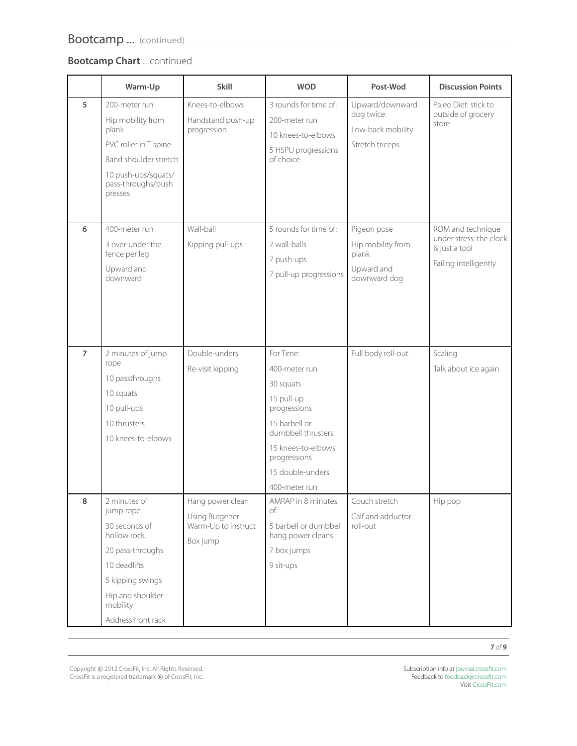#### **Bootcamp Chart** ... continued

|                | Warm-Up                                                                                                                                                                  | <b>Skill</b>                                                          | <b>WOD</b>                                                                                                                                                                              | Post-Wod                                                                | <b>Discussion Points</b>                                                                |
|----------------|--------------------------------------------------------------------------------------------------------------------------------------------------------------------------|-----------------------------------------------------------------------|-----------------------------------------------------------------------------------------------------------------------------------------------------------------------------------------|-------------------------------------------------------------------------|-----------------------------------------------------------------------------------------|
| 5              | 200-meter run<br>Hip mobility from<br>plank<br>PVC roller in T-spine<br>Band shoulder stretch<br>10 push-ups/squats/<br>pass-throughs/push<br>presses                    | Knees-to-elbows<br>Handstand push-up<br>progression                   | 3 rounds for time of:<br>200-meter run<br>10 knees-to-elbows<br>5 HSPU progressions<br>of choice                                                                                        | Upward/downward<br>dog twice<br>Low-back mobility<br>Stretch triceps    | Paleo Diet: stick to<br>outside of grocery<br>store                                     |
| 6              | 400-meter run<br>3 over-under the<br>fence per leg<br>Upward and<br>downward                                                                                             | Wall-ball<br>Kipping pull-ups                                         | 5 rounds for time of:<br>7 wall-balls<br>7 push-ups<br>7 pull-up progressions                                                                                                           | Pigeon pose<br>Hip mobility from<br>plank<br>Upward and<br>downward dog | ROM and technique<br>under stress: the clock<br>is just a tool<br>Failing intelligently |
| $\overline{7}$ | 2 minutes of jump<br>rope<br>10 passthroughs<br>10 squats<br>10 pull-ups<br>10 thrusters<br>10 knees-to-elbows                                                           | Double-unders<br>Re-visit kipping                                     | For Time:<br>400-meter run<br>30 squats<br>15 pull-up<br>progressions<br>15 barbell or<br>dumbbell thrusters<br>15 knees-to-elbows<br>progressions<br>15 double-unders<br>400-meter run | Full body roll-out                                                      | Scaling<br>Talk about ice again                                                         |
| 8              | 2 minutes of<br>jump rope<br>30 seconds of<br>hollow rock.<br>20 pass-throughs<br>10 deadlifts<br>5 kipping swings<br>Hip and shoulder<br>mobility<br>Address front rack | Hang power clean<br>Using Burgener<br>Warm-Up to instruct<br>Box jump | AMRAP in 8 minutes<br>of:<br>5 barbell or dumbbell<br>hang power cleans<br>7 box jumps<br>9 sit-ups                                                                                     | Couch stretch<br>Calf and adductor<br>roll-out                          | Hip pop                                                                                 |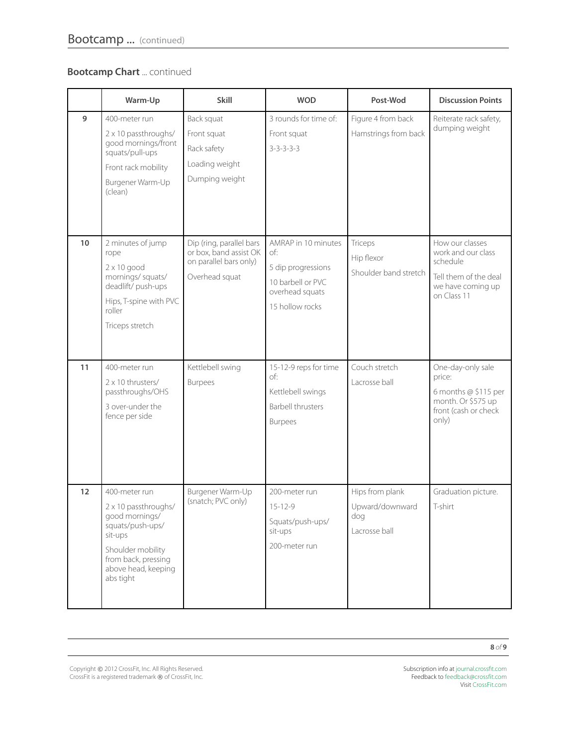#### **Bootcamp Chart** ... continued

|    | Warm-Up                                                                                                                                                                | Skill                                                                                          | <b>WOD</b>                                                                                                  | Post-Wod                                                   | <b>Discussion Points</b>                                                                                       |
|----|------------------------------------------------------------------------------------------------------------------------------------------------------------------------|------------------------------------------------------------------------------------------------|-------------------------------------------------------------------------------------------------------------|------------------------------------------------------------|----------------------------------------------------------------------------------------------------------------|
| 9  | 400-meter run<br>2 x 10 passthroughs/<br>good mornings/front<br>squats/pull-ups<br>Front rack mobility<br>Burgener Warm-Up<br>(clean)                                  | Back squat<br>Front squat<br>Rack safety<br>Loading weight<br>Dumping weight                   | 3 rounds for time of:<br>Front squat<br>$3 - 3 - 3 - 3 - 3$                                                 | Figure 4 from back<br>Hamstrings from back                 | Reiterate rack safety,<br>dumping weight                                                                       |
| 10 | 2 minutes of jump<br>rope<br>$2 \times 10$ good<br>mornings/squats/<br>deadlift/push-ups<br>Hips, T-spine with PVC<br>roller<br>Triceps stretch                        | Dip (ring, parallel bars<br>or box, band assist OK<br>on parallel bars only)<br>Overhead squat | AMRAP in 10 minutes<br>of:<br>5 dip progressions<br>10 barbell or PVC<br>overhead squats<br>15 hollow rocks | Triceps<br>Hip flexor<br>Shoulder band stretch             | How our classes<br>work and our class<br>schedule<br>Tell them of the deal<br>we have coming up<br>on Class 11 |
| 11 | 400-meter run<br>2 x 10 thrusters/<br>passthroughs/OHS<br>3 over-under the<br>fence per side                                                                           | Kettlebell swing<br><b>Burpees</b>                                                             | 15-12-9 reps for time<br>of:<br>Kettlebell swings<br><b>Barbell thrusters</b><br><b>Burpees</b>             | Couch stretch<br>Lacrosse ball                             | One-day-only sale<br>price:<br>6 months $@$ \$115 per<br>month. Or \$575 up<br>front (cash or check<br>only)   |
| 12 | 400-meter run<br>2 x 10 passthroughs/<br>good mornings/<br>squats/push-ups/<br>sit-ups<br>Shoulder mobility<br>from back, pressing<br>above head, keeping<br>abs tight | Burgener Warm-Up<br>(snatch; PVC only)                                                         | 200-meter run<br>$15 - 12 - 9$<br>Squats/push-ups/<br>sit-ups<br>200-meter run                              | Hips from plank<br>Upward/downward<br>dog<br>Lacrosse ball | Graduation picture.<br>T-shirt                                                                                 |

**8** *of* **9**